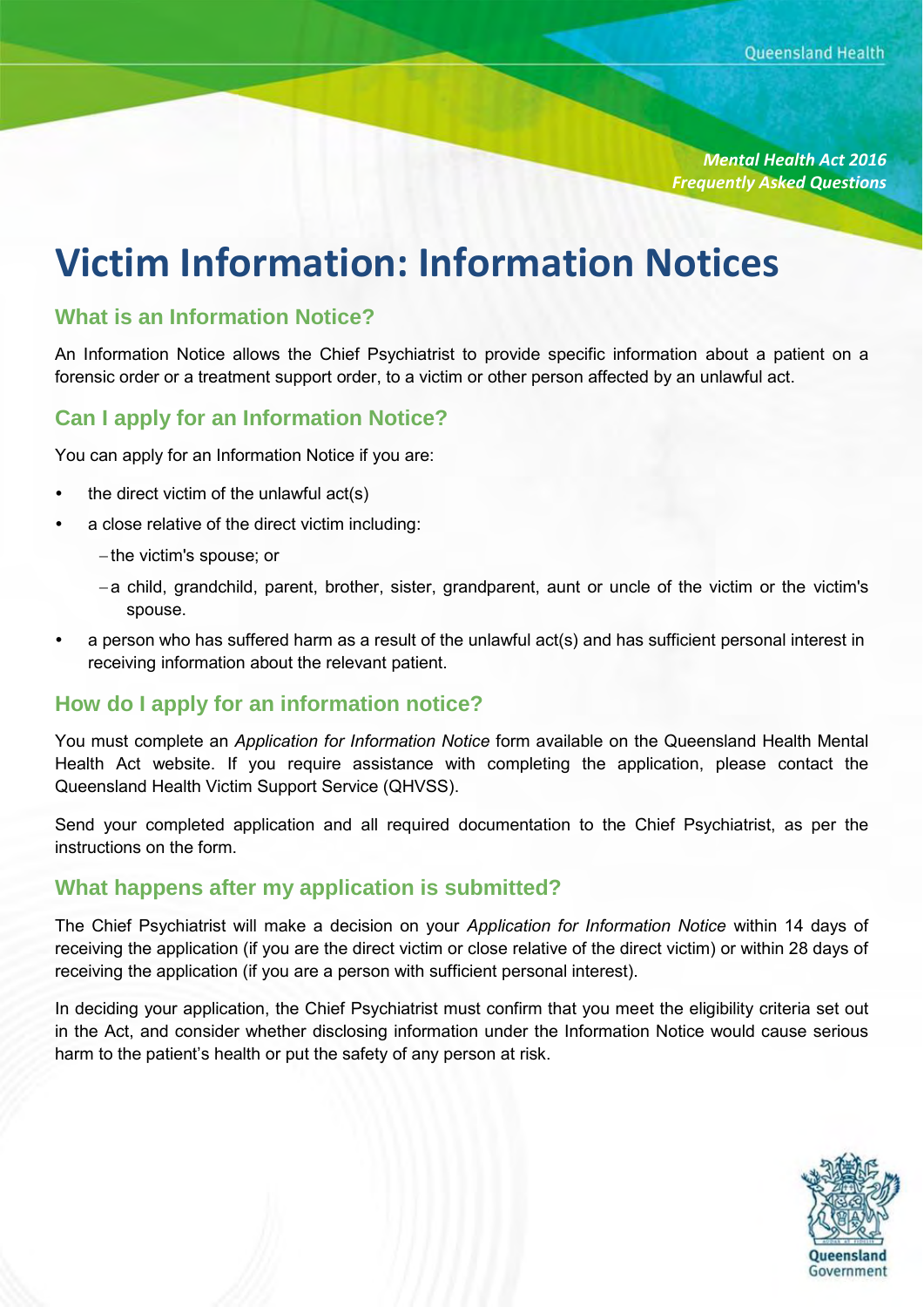*Mental Health Act 2016 Frequently Asked Questions*

# **Victim Information: Information Notices**

#### **What is an Information Notice?**

An Information Notice allows the Chief Psychiatrist to provide specific information about a patient on a forensic order or a treatment support order, to a victim or other person affected by an unlawful act.

## **Can I apply for an Information Notice?**

You can apply for an Information Notice if you are:

- the direct victim of the unlawful act(s)
- a close relative of the direct victim including:
	- $-$  the victim's spouse; or
	- a child, grandchild, parent, brother, sister, grandparent, aunt or uncle of the victim or the victim's spouse.
- a person who has suffered harm as a result of the unlawful act(s) and has sufficient personal interest in receiving information about the relevant patient.

#### **How do I apply for an information notice?**

You must complete an *Application for Information Notice* form available on the Queensland Health Mental Health Act website. If you require assistance with completing the application, please contact the Queensland Health Victim Support Service (QHVSS).

Send your completed application and all required documentation to the Chief Psychiatrist, as per the instructions on the form.

#### **What happens after my application is submitted?**

The Chief Psychiatrist will make a decision on your *Application for Information Notice* within 14 days of receiving the application (if you are the direct victim or close relative of the direct victim) or within 28 days of receiving the application (if you are a person with sufficient personal interest).

In deciding your application, the Chief Psychiatrist must confirm that you meet the eligibility criteria set out in the Act, and consider whether disclosing information under the Information Notice would cause serious harm to the patient's health or put the safety of any person at risk.

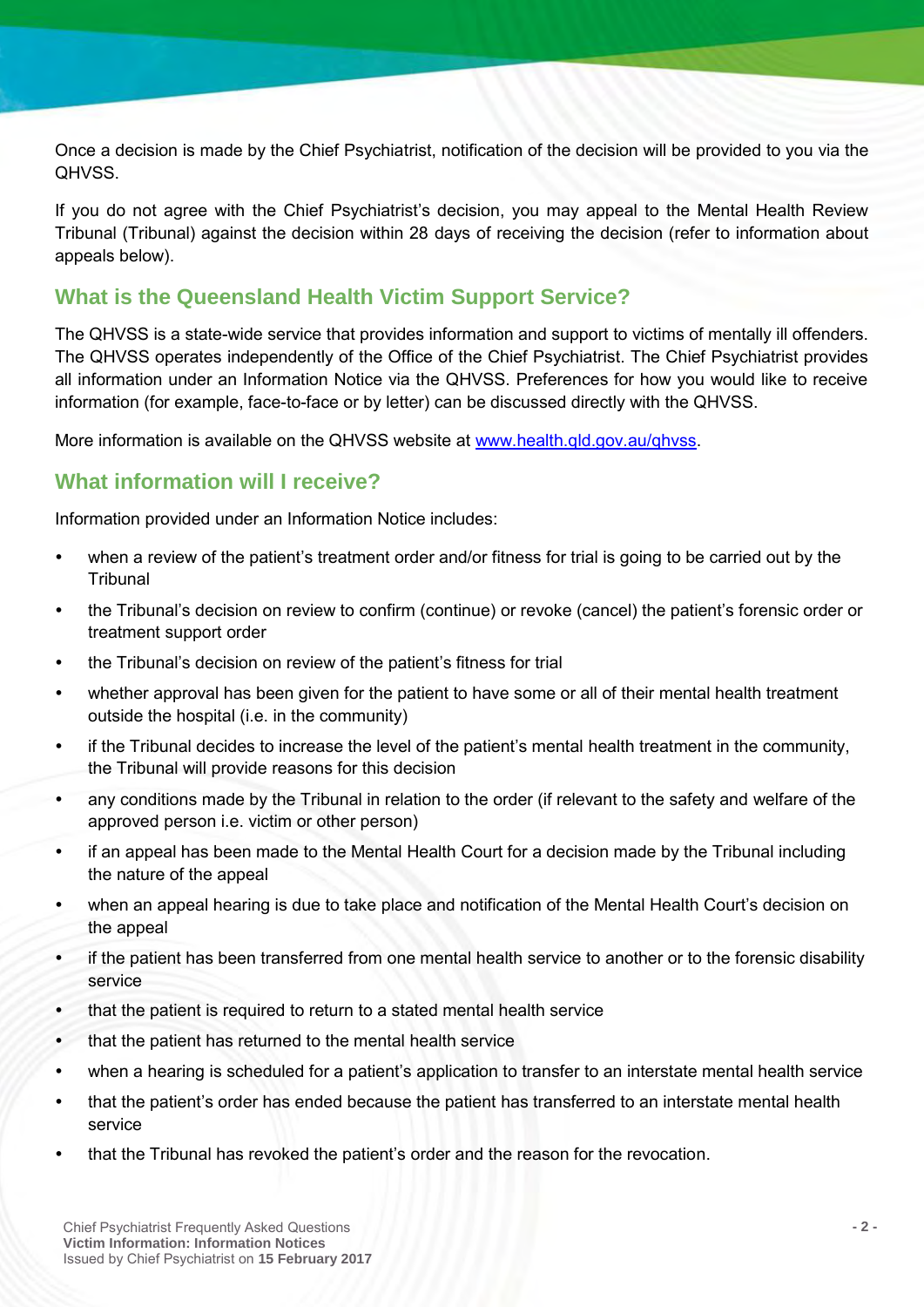Once a decision is made by the Chief Psychiatrist, notification of the decision will be provided to you via the QHVSS.

If you do not agree with the Chief Psychiatrist's decision, you may appeal to the Mental Health Review Tribunal (Tribunal) against the decision within 28 days of receiving the decision (refer to information about appeals below).

## **What is the Queensland Health Victim Support Service?**

The QHVSS is a state-wide service that provides information and support to victims of mentally ill offenders. The QHVSS operates independently of the Office of the Chief Psychiatrist. The Chief Psychiatrist provides all information under an Information Notice via the QHVSS. Preferences for how you would like to receive information (for example, face-to-face or by letter) can be discussed directly with the QHVSS.

More information is available on the QHVSS website at [www.health.qld.gov.au/qhvss.](http://www.health.qld.gov.au/qhvss)

## **What information will I receive?**

Information provided under an Information Notice includes:

- when a review of the patient's treatment order and/or fitness for trial is going to be carried out by the **Tribunal**
- the Tribunal's decision on review to confirm (continue) or revoke (cancel) the patient's forensic order or treatment support order
- the Tribunal's decision on review of the patient's fitness for trial
- whether approval has been given for the patient to have some or all of their mental health treatment outside the hospital (i.e. in the community)
- if the Tribunal decides to increase the level of the patient's mental health treatment in the community, the Tribunal will provide reasons for this decision
- any conditions made by the Tribunal in relation to the order (if relevant to the safety and welfare of the approved person i.e. victim or other person)
- if an appeal has been made to the Mental Health Court for a decision made by the Tribunal including the nature of the appeal
- when an appeal hearing is due to take place and notification of the Mental Health Court's decision on the appeal
- if the patient has been transferred from one mental health service to another or to the forensic disability service
- that the patient is required to return to a stated mental health service
- that the patient has returned to the mental health service
- when a hearing is scheduled for a patient's application to transfer to an interstate mental health service
- that the patient's order has ended because the patient has transferred to an interstate mental health service
- that the Tribunal has revoked the patient's order and the reason for the revocation.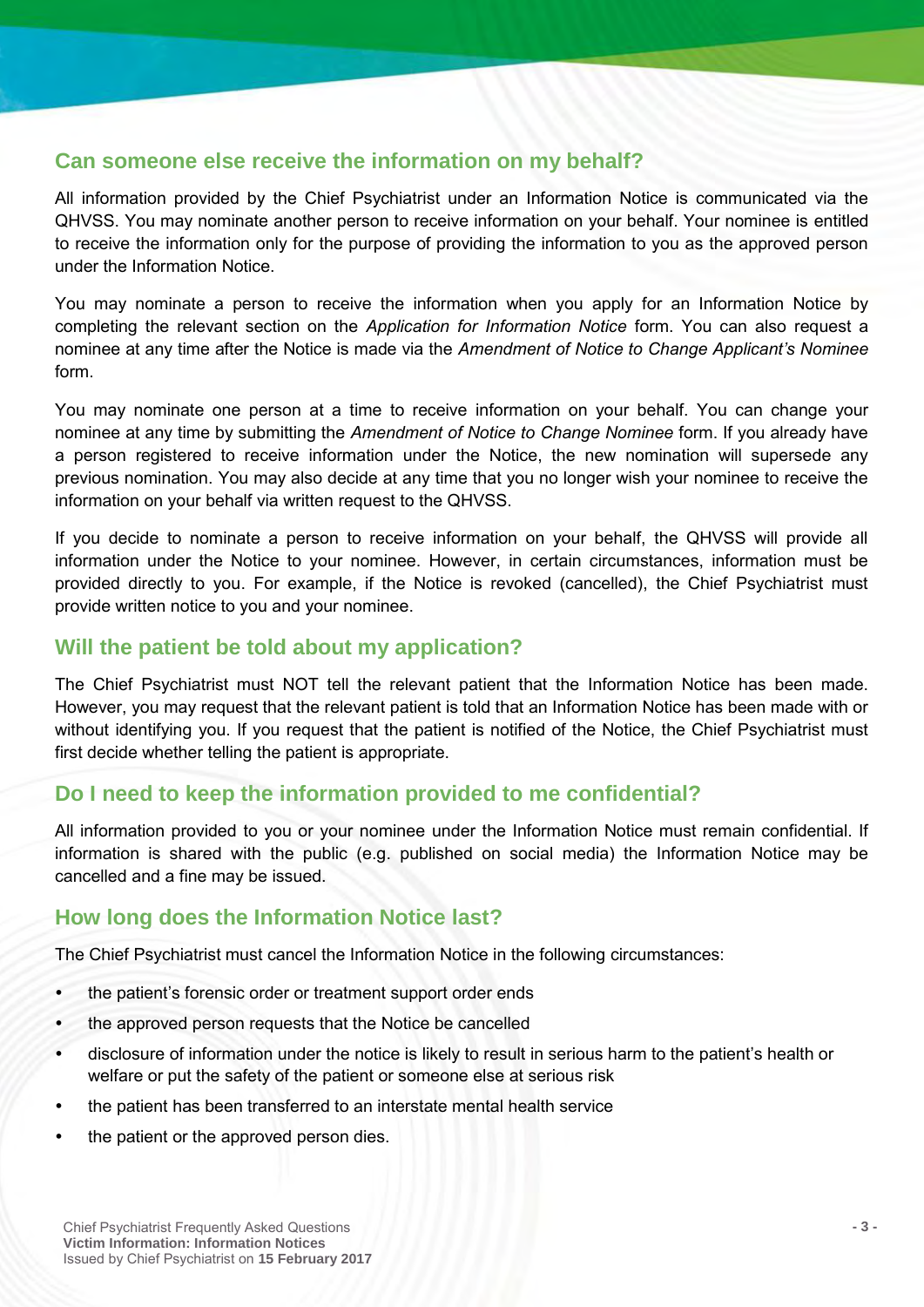### **Can someone else receive the information on my behalf?**

All information provided by the Chief Psychiatrist under an Information Notice is communicated via the QHVSS. You may nominate another person to receive information on your behalf. Your nominee is entitled to receive the information only for the purpose of providing the information to you as the approved person under the Information Notice.

You may nominate a person to receive the information when you apply for an Information Notice by completing the relevant section on the *Application for Information Notice* form. You can also request a nominee at any time after the Notice is made via the *Amendment of Notice to Change Applicant's Nominee* form.

You may nominate one person at a time to receive information on your behalf. You can change your nominee at any time by submitting the *Amendment of Notice to Change Nominee* form. If you already have a person registered to receive information under the Notice, the new nomination will supersede any previous nomination. You may also decide at any time that you no longer wish your nominee to receive the information on your behalf via written request to the QHVSS.

If you decide to nominate a person to receive information on your behalf, the QHVSS will provide all information under the Notice to your nominee. However, in certain circumstances, information must be provided directly to you. For example, if the Notice is revoked (cancelled), the Chief Psychiatrist must provide written notice to you and your nominee.

### **Will the patient be told about my application?**

The Chief Psychiatrist must NOT tell the relevant patient that the Information Notice has been made. However, you may request that the relevant patient is told that an Information Notice has been made with or without identifying you. If you request that the patient is notified of the Notice, the Chief Psychiatrist must first decide whether telling the patient is appropriate.

#### **Do I need to keep the information provided to me confidential?**

All information provided to you or your nominee under the Information Notice must remain confidential. If information is shared with the public (e.g. published on social media) the Information Notice may be cancelled and a fine may be issued.

# **How long does the Information Notice last?**

The Chief Psychiatrist must cancel the Information Notice in the following circumstances:

- the patient's forensic order or treatment support order ends
- the approved person requests that the Notice be cancelled
- disclosure of information under the notice is likely to result in serious harm to the patient's health or welfare or put the safety of the patient or someone else at serious risk
- the patient has been transferred to an interstate mental health service
- the patient or the approved person dies.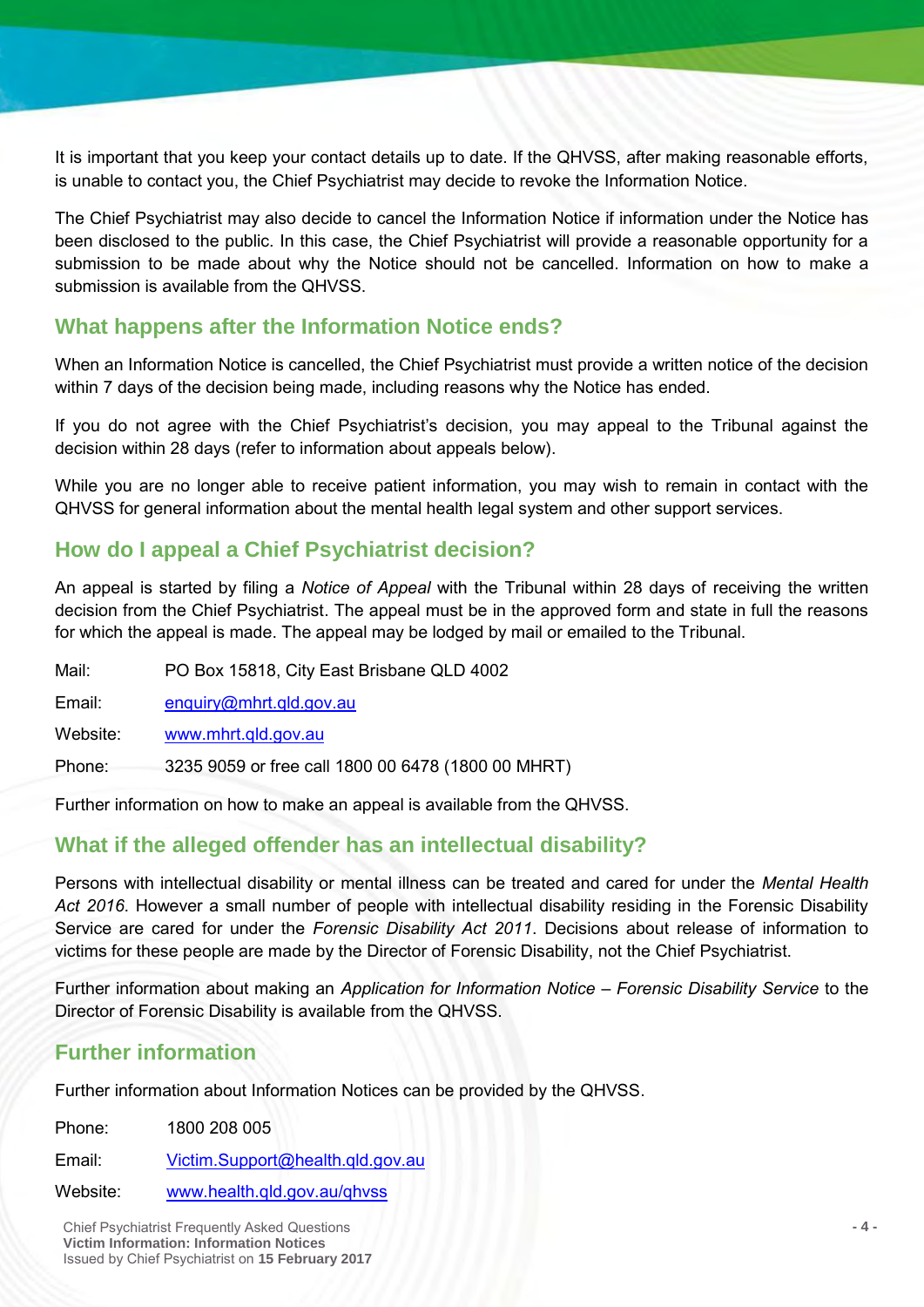It is important that you keep your contact details up to date. If the QHVSS, after making reasonable efforts, is unable to contact you, the Chief Psychiatrist may decide to revoke the Information Notice.

The Chief Psychiatrist may also decide to cancel the Information Notice if information under the Notice has been disclosed to the public. In this case, the Chief Psychiatrist will provide a reasonable opportunity for a submission to be made about why the Notice should not be cancelled. Information on how to make a submission is available from the QHVSS.

#### **What happens after the Information Notice ends?**

When an Information Notice is cancelled, the Chief Psychiatrist must provide a written notice of the decision within 7 days of the decision being made, including reasons why the Notice has ended.

If you do not agree with the Chief Psychiatrist's decision, you may appeal to the Tribunal against the decision within 28 days (refer to information about appeals below).

While you are no longer able to receive patient information, you may wish to remain in contact with the QHVSS for general information about the mental health legal system and other support services.

#### **How do I appeal a Chief Psychiatrist decision?**

An appeal is started by filing a *Notice of Appeal* with the Tribunal within 28 days of receiving the written decision from the Chief Psychiatrist. The appeal must be in the approved form and state in full the reasons for which the appeal is made. The appeal may be lodged by mail or emailed to the Tribunal.

Mail: PO Box 15818, City East Brisbane QLD 4002

Email: enquiry@mhrt.qld.gov.au

Website: www.mhrt.qld.gov.au

Phone: 3235 9059 or free call 1800 00 6478 (1800 00 MHRT)

Further information on how to make an appeal is available from the QHVSS.

#### **What if the alleged offender has an intellectual disability?**

Persons with intellectual disability or mental illness can be treated and cared for under the *Mental Health Act 2016*. However a small number of people with intellectual disability residing in the Forensic Disability Service are cared for under the *Forensic Disability Act 2011*. Decisions about release of information to victims for these people are made by the Director of Forensic Disability, not the Chief Psychiatrist.

Further information about making an *Application for Information Notice – Forensic Disability Service* to the Director of Forensic Disability is available from the QHVSS.

# **Further information**

Further information about Information Notices can be provided by the QHVSS.

Phone: 1800 208 005 Email: Victim.Support@health.qld.gov.au

Website: www.health.qld.gov.au/qhvss

Chief Psychiatrist Frequently Asked Questions **- 4 - Victim Information: Information Notices** Issued by Chief Psychiatrist on **15 February 2017**